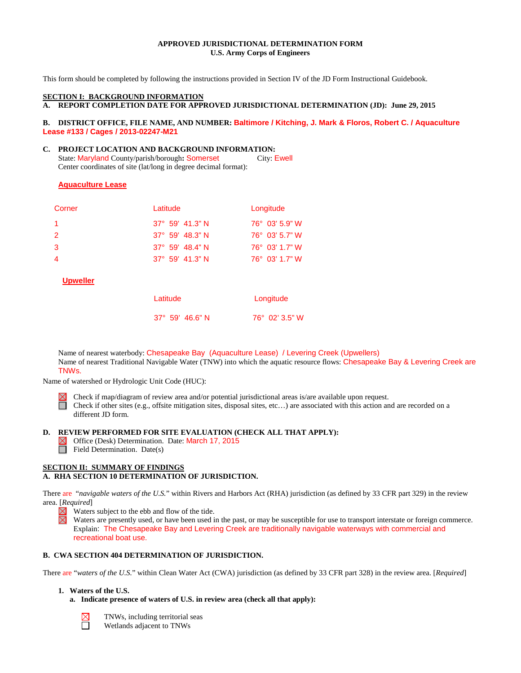## **APPROVED JURISDICTIONAL DETERMINATION FORM U.S. Army Corps of Engineers**

This form should be completed by following the instructions provided in Section IV of the JD Form Instructional Guidebook.

#### **SECTION I: BACKGROUND INFORMATION**

**A. REPORT COMPLETION DATE FOR APPROVED JURISDICTIONAL DETERMINATION (JD): June 29, 2015**

#### **B. DISTRICT OFFICE, FILE NAME, AND NUMBER: Baltimore / Kitching, J. Mark & Floros, Robert C. / Aquaculture Lease #133 / Cages / 2013-02247-M21**

# **C. PROJECT LOCATION AND BACKGROUND INFORMATION:**

State: Maryland County/parish/borough: Somerset Center coordinates of site (lat/long in degree decimal format):

## **Aquaculture Lease**

| Corner | Latitude                 | Longitude               |
|--------|--------------------------|-------------------------|
| -1.    | $37^{\circ}$ 59' 41.3" N | $76^{\circ}$ 03' 5.9" W |
| 2      | $37^{\circ}$ 59' 48.3" N | $76^{\circ}$ 03' 5.7" W |
| 3      | $37^{\circ}$ 59' 48.4" N | $76^{\circ}$ 03' 1.7" W |
| 4      | $37^{\circ}$ 59' 41.3" N | $76^{\circ}$ 03' 1.7" W |

**Upweller**

| Latitude                 | Longitude      |  |
|--------------------------|----------------|--|
| $37^{\circ}$ 59' 46.6" N | 76° 02' 3.5" W |  |

Name of nearest waterbody: Chesapeake Bay (Aquaculture Lease) / Levering Creek (Upwellers) Name of nearest Traditional Navigable Water (TNW) into which the aquatic resource flows: Chesapeake Bay & Levering Creek are TNWs.

Name of watershed or Hydrologic Unit Code (HUC):



Check if map/diagram of review area and/or potential jurisdictional areas is/are available upon request. Check if other sites (e.g., offsite mitigation sites, disposal sites, etc…) are associated with this action and are recorded on a different JD form.

## **D. REVIEW PERFORMED FOR SITE EVALUATION (CHECK ALL THAT APPLY):**

 $\boxtimes$  Office (Desk) Determination. Date: March 17, 2015  $\Box$  Field Determination. Date(s)

## **SECTION II: SUMMARY OF FINDINGS A. RHA SECTION 10 DETERMINATION OF JURISDICTION.**

There are "*navigable waters of the U.S.*" within Rivers and Harbors Act (RHA) jurisdiction (as defined by 33 CFR part 329) in the review area. [*Required*]

 $\boxtimes$ Waters subject to the ebb and flow of the tide.

Waters are presently used, or have been used in the past, or may be susceptible for use to transport interstate or foreign commerce. Explain: The Chesapeake Bay and Levering Creek are traditionally navigable waterways with commercial and recreational boat use.

## **B. CWA SECTION 404 DETERMINATION OF JURISDICTION.**

There are "*waters of the U.S.*" within Clean Water Act (CWA) jurisdiction (as defined by 33 CFR part 328) in the review area. [*Required*]

## **1. Waters of the U.S.**

**a. Indicate presence of waters of U.S. in review area (check all that apply):**



TNWs, including territorial seas Wetlands adjacent to TNWs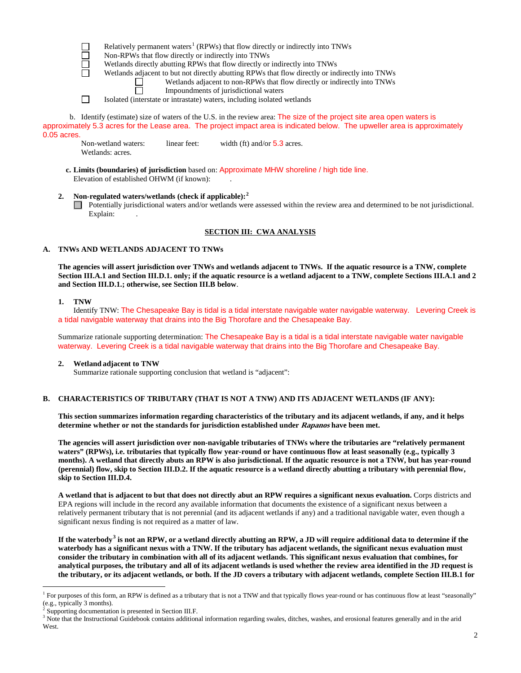Relatively permanent waters<sup>[1](#page-1-0)</sup> (RPWs) that flow directly or indirectly into TNWs

Non-RPWs that flow directly or indirectly into TNWs

Wetlands directly abutting RPWs that flow directly or indirectly into TNWs

Wetlands adjacent to but not directly abutting RPWs that flow directly or indirectly into TNWs

Wetlands adjacent to non-RPWs that flow directly or indirectly into TNWs П

Impoundments of jurisdictional waters

 $\Box$ Isolated (interstate or intrastate) waters, including isolated wetlands

b. Identify (estimate) size of waters of the U.S. in the review area: The size of the project site area open waters is approximately 5.3 acres for the Lease area. The project impact area is indicated below. The upweller area is approximately 0.05 acres

Non-wetland waters: linear feet: width (ft) and/or 5.3 acres. Wetlands: acres.

- **c. Limits (boundaries) of jurisdiction** based on: Approximate MHW shoreline / high tide line. Elevation of established OHWM (if known):
- **2. Non-regulated waters/wetlands (check if applicable): [2](#page-1-1)** Potentially jurisdictional waters and/or wetlands were assessed within the review area and determined to be not jurisdictional. Explain:

## **SECTION III: CWA ANALYSIS**

## **A. TNWs AND WETLANDS ADJACENT TO TNWs**

**The agencies will assert jurisdiction over TNWs and wetlands adjacent to TNWs. If the aquatic resource is a TNW, complete Section III.A.1 and Section III.D.1. only; if the aquatic resource is a wetland adjacent to a TNW, complete Sections III.A.1 and 2 and Section III.D.1.; otherwise, see Section III.B below**.

## **1. TNW**

Identify TNW: The Chesapeake Bay is tidal is a tidal interstate navigable water navigable waterway. Levering Creek is a tidal navigable waterway that drains into the Big Thorofare and the Chesapeake Bay.

Summarize rationale supporting determination: The Chesapeake Bay is a tidal is a tidal interstate navigable water navigable waterway. Levering Creek is a tidal navigable waterway that drains into the Big Thorofare and Chesapeake Bay.

## **2. Wetland adjacent to TNW**

Summarize rationale supporting conclusion that wetland is "adjacent":

## **B. CHARACTERISTICS OF TRIBUTARY (THAT IS NOT A TNW) AND ITS ADJACENT WETLANDS (IF ANY):**

**This section summarizes information regarding characteristics of the tributary and its adjacent wetlands, if any, and it helps determine whether or not the standards for jurisdiction established under Rapanos have been met.** 

**The agencies will assert jurisdiction over non-navigable tributaries of TNWs where the tributaries are "relatively permanent waters" (RPWs), i.e. tributaries that typically flow year-round or have continuous flow at least seasonally (e.g., typically 3 months). A wetland that directly abuts an RPW is also jurisdictional. If the aquatic resource is not a TNW, but has year-round (perennial) flow, skip to Section III.D.2. If the aquatic resource is a wetland directly abutting a tributary with perennial flow, skip to Section III.D.4.** 

**A wetland that is adjacent to but that does not directly abut an RPW requires a significant nexus evaluation.** Corps districts and EPA regions will include in the record any available information that documents the existence of a significant nexus between a relatively permanent tributary that is not perennial (and its adjacent wetlands if any) and a traditional navigable water, even though a significant nexus finding is not required as a matter of law.

**If the waterbody[3](#page-1-2) is not an RPW, or a wetland directly abutting an RPW, a JD will require additional data to determine if the waterbody has a significant nexus with a TNW. If the tributary has adjacent wetlands, the significant nexus evaluation must consider the tributary in combination with all of its adjacent wetlands. This significant nexus evaluation that combines, for analytical purposes, the tributary and all of its adjacent wetlands is used whether the review area identified in the JD request is the tributary, or its adjacent wetlands, or both. If the JD covers a tributary with adjacent wetlands, complete Section III.B.1 for** 

<span id="page-1-0"></span><sup>&</sup>lt;sup>1</sup> For purposes of this form, an RPW is defined as a tributary that is not a TNW and that typically flows year-round or has continuous flow at least "seasonally" (e.g., typically 3 months).

<span id="page-1-1"></span>Supporting documentation is presented in Section III.F.

<span id="page-1-2"></span> $3$  Note that the Instructional Guidebook contains additional information regarding swales, ditches, washes, and erosional features generally and in the arid West.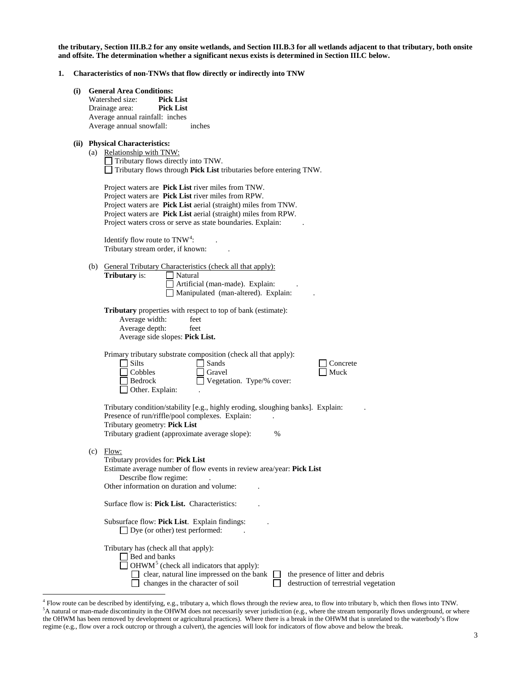**the tributary, Section III.B.2 for any onsite wetlands, and Section III.B.3 for all wetlands adjacent to that tributary, both onsite and offsite. The determination whether a significant nexus exists is determined in Section III.C below.**

#### **1. Characteristics of non-TNWs that flow directly or indirectly into TNW**

| $\bf(i)$ | <b>General Area Conditions:</b>                                                                                                                                                                                                                                                                             |
|----------|-------------------------------------------------------------------------------------------------------------------------------------------------------------------------------------------------------------------------------------------------------------------------------------------------------------|
|          | Watershed size:<br><b>Pick List</b>                                                                                                                                                                                                                                                                         |
|          | Drainage area:<br><b>Pick List</b><br>Average annual rainfall: inches                                                                                                                                                                                                                                       |
|          | Average annual snowfall:<br>inches                                                                                                                                                                                                                                                                          |
|          |                                                                                                                                                                                                                                                                                                             |
|          | (ii) Physical Characteristics:<br>(a) Relationship with TNW:<br>Tributary flows directly into TNW.<br>$\Box$ Tributary flows through Pick List tributaries before entering TNW.                                                                                                                             |
|          | Project waters are Pick List river miles from TNW.<br>Project waters are Pick List river miles from RPW.<br>Project waters are Pick List aerial (straight) miles from TNW.<br>Project waters are Pick List aerial (straight) miles from RPW.<br>Project waters cross or serve as state boundaries. Explain: |
|          | Identify flow route to $TNW4$ :<br>Tributary stream order, if known:                                                                                                                                                                                                                                        |
|          | (b) General Tributary Characteristics (check all that apply):<br><b>Tributary</b> is:<br>$\Box$ Natural<br>Artificial (man-made). Explain:<br>Manipulated (man-altered). Explain:                                                                                                                           |
|          | <b>Tributary</b> properties with respect to top of bank (estimate):<br>Average width:<br>feet<br>Average depth:<br>feet<br>Average side slopes: Pick List.                                                                                                                                                  |
|          | Primary tributary substrate composition (check all that apply):<br>$\Box$ Silts<br>Sands<br>Concrete<br>Cobbles<br>Gravel<br>Muck<br>Vegetation. Type/% cover:<br>Bedrock<br>Other. Explain:                                                                                                                |
|          | Tributary condition/stability [e.g., highly eroding, sloughing banks]. Explain:<br>Presence of run/riffle/pool complexes. Explain:<br>Tributary geometry: Pick List<br>Tributary gradient (approximate average slope):<br>%                                                                                 |
|          | $(c)$ Flow:<br>Tributary provides for: Pick List<br>Estimate average number of flow events in review area/year: Pick List<br>Describe flow regime:<br>Other information on duration and volume:                                                                                                             |
|          | Surface flow is: Pick List. Characteristics:                                                                                                                                                                                                                                                                |
|          | Subsurface flow: Pick List. Explain findings:<br>$\Box$ Dye (or other) test performed:                                                                                                                                                                                                                      |
|          | Tributary has (check all that apply):<br>Bed and banks<br>$\Box$ OHWM <sup>5</sup> (check all indicators that apply):<br>clear, natural line impressed on the bank<br>the presence of litter and debris<br>changes in the character of soil<br>destruction of terrestrial vegetation                        |

<span id="page-2-1"></span><span id="page-2-0"></span> <sup>4</sup> Flow route can be described by identifying, e.g., tributary a, which flows through the review area, to flow into tributary b, which then flows into TNW. <sup>5</sup>A natural or man-made discontinuity in the OHWM does not necessarily sever jurisdiction (e.g., where the stream temporarily flows underground, or where the OHWM has been removed by development or agricultural practices). Where there is a break in the OHWM that is unrelated to the waterbody's flow regime (e.g., flow over a rock outcrop or through a culvert), the agencies will look for indicators of flow above and below the break.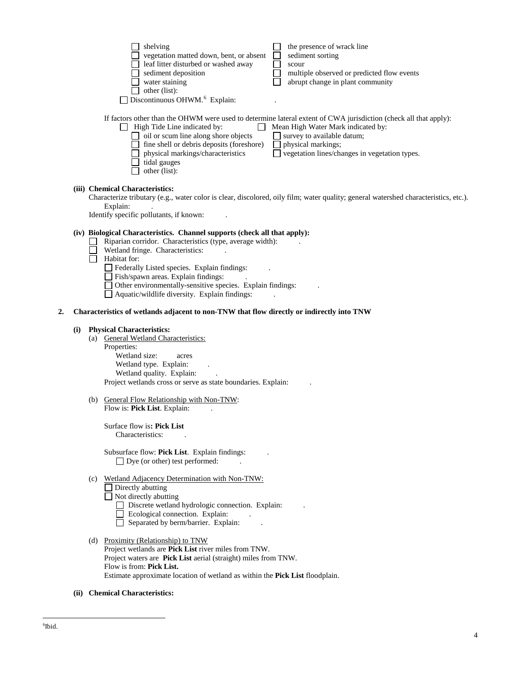|    |     | shelving<br>the presence of wrack line<br>vegetation matted down, bent, or absent<br>sediment sorting<br>leaf litter disturbed or washed away<br>scour<br>multiple observed or predicted flow events<br>sediment deposition<br>abrupt change in plant community<br>water staining<br>other (list):<br>Discontinuous OHWM. <sup>6</sup> Explain:                                                                                                               |
|----|-----|---------------------------------------------------------------------------------------------------------------------------------------------------------------------------------------------------------------------------------------------------------------------------------------------------------------------------------------------------------------------------------------------------------------------------------------------------------------|
|    |     | If factors other than the OHWM were used to determine lateral extent of CWA jurisdiction (check all that apply):<br>High Tide Line indicated by:<br>Mean High Water Mark indicated by:<br>oil or scum line along shore objects<br>$\Box$ survey to available datum;<br>fine shell or debris deposits (foreshore)<br>physical markings;<br>physical markings/characteristics<br>vegetation lines/changes in vegetation types.<br>tidal gauges<br>other (list): |
|    |     | (iii) Chemical Characteristics:<br>Characterize tributary (e.g., water color is clear, discolored, oily film; water quality; general watershed characteristics, etc.).<br>Explain:<br>Identify specific pollutants, if known:                                                                                                                                                                                                                                 |
|    |     | (iv) Biological Characteristics. Channel supports (check all that apply):<br>Riparian corridor. Characteristics (type, average width):<br>Wetland fringe. Characteristics:<br>Habitat for:<br>Federally Listed species. Explain findings:<br>Fish/spawn areas. Explain findings:<br>Other environmentally-sensitive species. Explain findings:<br>Aquatic/wildlife diversity. Explain findings:                                                               |
| 2. |     | Characteristics of wetlands adjacent to non-TNW that flow directly or indirectly into TNW                                                                                                                                                                                                                                                                                                                                                                     |
|    | (i) | <b>Physical Characteristics:</b><br>(a) General Wetland Characteristics:<br>Properties:<br>Wetland size:<br>acres<br>Wetland type. Explain:<br>Wetland quality. Explain:<br>Project wetlands cross or serve as state boundaries. Explain:                                                                                                                                                                                                                     |
|    |     | (b) General Flow Relationship with Non-TNW:                                                                                                                                                                                                                                                                                                                                                                                                                   |
|    |     | Flow is: <b>Pick List</b> . Explain:<br>Surface flow is: Pick List<br>Characteristics:                                                                                                                                                                                                                                                                                                                                                                        |
|    |     | Subsurface flow: Pick List. Explain findings:<br>$\Box$ Dye (or other) test performed:                                                                                                                                                                                                                                                                                                                                                                        |
|    |     | (c) Wetland Adjacency Determination with Non-TNW:<br>Directly abutting<br>$\Box$ Not directly abutting<br>Discrete wetland hydrologic connection. Explain:<br>Ecological connection. Explain:<br>Separated by berm/barrier. Explain:                                                                                                                                                                                                                          |
|    |     | (d) Proximity (Relationship) to TNW<br>Project wetlands are Pick List river miles from TNW.<br>Project waters are Pick List aerial (straight) miles from TNW.<br>Flow is from: Pick List.<br>Estimate approximate location of wetland as within the Pick List floodplain.                                                                                                                                                                                     |

<span id="page-3-0"></span>**(ii) Chemical Characteristics:**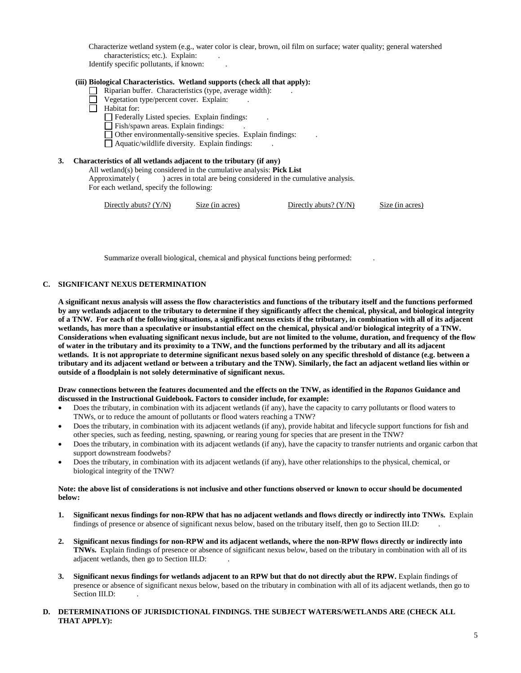Characterize wetland system (e.g., water color is clear, brown, oil film on surface; water quality; general watershed characteristics; etc.). Explain:

Identify specific pollutants, if known: .

#### **(iii) Biological Characteristics. Wetland supports (check all that apply):**

- Riparian buffer. Characteristics (type, average width): ...
- Vegetation type/percent cover. Explain: .
- $\overline{\Box}$  Habitat for:
	- Federally Listed species. Explain findings: .
	- Fish/spawn areas. Explain findings: ...
	- Other environmentally-sensitive species. Explain findings: .
	- $\Box$  Aquatic/wildlife diversity. Explain findings:

#### **3. Characteristics of all wetlands adjacent to the tributary (if any)**

All wetland(s) being considered in the cumulative analysis: **Pick List** Approximately ( ) acres in total are being considered in the cumulative analysis. For each wetland, specify the following:

Directly abuts? (Y/N) Size (in acres) Directly abuts? (Y/N) Size (in acres)

Summarize overall biological, chemical and physical functions being performed: .

#### **C. SIGNIFICANT NEXUS DETERMINATION**

**A significant nexus analysis will assess the flow characteristics and functions of the tributary itself and the functions performed by any wetlands adjacent to the tributary to determine if they significantly affect the chemical, physical, and biological integrity of a TNW. For each of the following situations, a significant nexus exists if the tributary, in combination with all of its adjacent wetlands, has more than a speculative or insubstantial effect on the chemical, physical and/or biological integrity of a TNW. Considerations when evaluating significant nexus include, but are not limited to the volume, duration, and frequency of the flow of water in the tributary and its proximity to a TNW, and the functions performed by the tributary and all its adjacent wetlands. It is not appropriate to determine significant nexus based solely on any specific threshold of distance (e.g. between a tributary and its adjacent wetland or between a tributary and the TNW). Similarly, the fact an adjacent wetland lies within or outside of a floodplain is not solely determinative of significant nexus.** 

#### **Draw connections between the features documented and the effects on the TNW, as identified in the** *Rapanos* **Guidance and discussed in the Instructional Guidebook. Factors to consider include, for example:**

- Does the tributary, in combination with its adjacent wetlands (if any), have the capacity to carry pollutants or flood waters to TNWs, or to reduce the amount of pollutants or flood waters reaching a TNW?
- Does the tributary, in combination with its adjacent wetlands (if any), provide habitat and lifecycle support functions for fish and other species, such as feeding, nesting, spawning, or rearing young for species that are present in the TNW?
- Does the tributary, in combination with its adjacent wetlands (if any), have the capacity to transfer nutrients and organic carbon that support downstream foodwebs?
- Does the tributary, in combination with its adjacent wetlands (if any), have other relationships to the physical, chemical, or biological integrity of the TNW?

#### **Note: the above list of considerations is not inclusive and other functions observed or known to occur should be documented below:**

- **1. Significant nexus findings for non-RPW that has no adjacent wetlands and flows directly or indirectly into TNWs.** Explain findings of presence or absence of significant nexus below, based on the tributary itself, then go to Section III.D: .
- **2. Significant nexus findings for non-RPW and its adjacent wetlands, where the non-RPW flows directly or indirectly into TNWs.** Explain findings of presence or absence of significant nexus below, based on the tributary in combination with all of its adjacent wetlands, then go to Section III.D: .
- **3. Significant nexus findings for wetlands adjacent to an RPW but that do not directly abut the RPW.** Explain findings of presence or absence of significant nexus below, based on the tributary in combination with all of its adjacent wetlands, then go to Section III.D:

## **D. DETERMINATIONS OF JURISDICTIONAL FINDINGS. THE SUBJECT WATERS/WETLANDS ARE (CHECK ALL THAT APPLY):**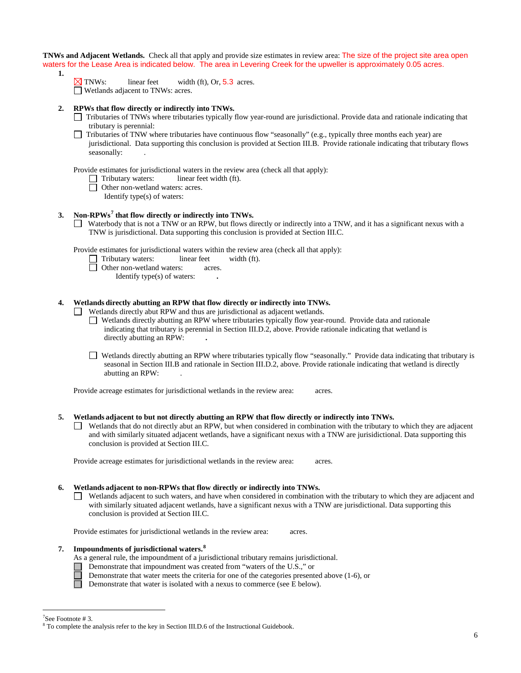**TNWs and Adjacent Wetlands.** Check all that apply and provide size estimates in review area: The size of the project site area open waters for the Lease Area is indicated below. The area in Levering Creek for the upweller is approximately 0.05 acres.

- **1.**
- $\times$  TNWs: linear feet width (ft), Or, 5.3 acres. Wetlands adjacent to TNWs: acres.
- **2. RPWs that flow directly or indirectly into TNWs.**
	- Tributaries of TNWs where tributaries typically flow year-round are jurisdictional. Provide data and rationale indicating that tributary is perennial:
	- Tributaries of TNW where tributaries have continuous flow "seasonally" (e.g., typically three months each year) are П jurisdictional. Data supporting this conclusion is provided at Section III.B. Provide rationale indicating that tributary flows seasonally: .

Provide estimates for jurisdictional waters in the review area (check all that apply):

- $\Box$  Tributary waters: linear feet width (ft).
- Other non-wetland waters: acres.
	- Identify type(s) of waters:

## **3. Non-RPWs[7](#page-5-0) that flow directly or indirectly into TNWs.**

Waterbody that is not a TNW or an RPW, but flows directly or indirectly into a TNW, and it has a significant nexus with a TNW is jurisdictional. Data supporting this conclusion is provided at Section III.C.

Provide estimates for jurisdictional waters within the review area (check all that apply):<br>  $\Box$  Tributary waters: linear feet width (ft).

- Tributary waters: linear feet width (ft).
	- Other non-wetland waters: acres.
		- Identify type(s) of waters: **.**

## **4. Wetlands directly abutting an RPW that flow directly or indirectly into TNWs.**

Wetlands directly abut RPW and thus are jurisdictional as adjacent wetlands.

Wetlands directly abutting an RPW where tributaries typically flow year-round. Provide data and rationale indicating that tributary is perennial in Section III.D.2, above. Provide rationale indicating that wetland is directly abutting an RPW: **.**

Wetlands directly abutting an RPW where tributaries typically flow "seasonally." Provide data indicating that tributary is seasonal in Section III.B and rationale in Section III.D.2, above. Provide rationale indicating that wetland is directly abutting an RPW: .

Provide acreage estimates for jurisdictional wetlands in the review area: acres.

#### **5. Wetlands adjacent to but not directly abutting an RPW that flow directly or indirectly into TNWs.**

 $\Box$  Wetlands that do not directly abut an RPW, but when considered in combination with the tributary to which they are adjacent and with similarly situated adjacent wetlands, have a significant nexus with a TNW are jurisidictional. Data supporting this conclusion is provided at Section III.C.

Provide acreage estimates for jurisdictional wetlands in the review area: acres.

#### **6. Wetlands adjacent to non-RPWs that flow directly or indirectly into TNWs.**

Wetlands adjacent to such waters, and have when considered in combination with the tributary to which they are adjacent and with similarly situated adjacent wetlands, have a significant nexus with a TNW are jurisdictional. Data supporting this conclusion is provided at Section III.C.

Provide estimates for jurisdictional wetlands in the review area: acres.

## **7. Impoundments of jurisdictional waters. [8](#page-5-1)**

- As a general rule, the impoundment of a jurisdictional tributary remains jurisdictional.
- Demonstrate that impoundment was created from "waters of the U.S.," or
	- Demonstrate that water meets the criteria for one of the categories presented above (1-6), or
- Demonstrate that water is isolated with a nexus to commerce (see E below).

<sup>-&</sup>lt;br>7

<span id="page-5-1"></span><span id="page-5-0"></span><sup>&</sup>lt;sup>7</sup>See Footnote # 3. 8  $\degree$  To complete the analysis refer to the key in Section III.D.6 of the Instructional Guidebook.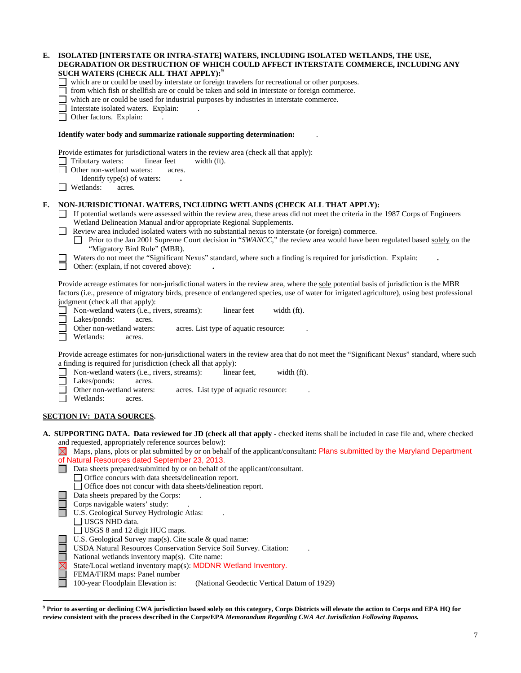| Е. | ISOLATED [INTERSTATE OR INTRA-STATE] WATERS, INCLUDING ISOLATED WETLANDS, THE USE,<br>DEGRADATION OR DESTRUCTION OF WHICH COULD AFFECT INTERSTATE COMMERCE, INCLUDING ANY<br>SUCH WATERS (CHECK ALL THAT APPLY): <sup>9</sup> |
|----|-------------------------------------------------------------------------------------------------------------------------------------------------------------------------------------------------------------------------------|
|    | which are or could be used by interstate or foreign travelers for recreational or other purposes.                                                                                                                             |
|    | from which fish or shellfish are or could be taken and sold in interstate or foreign commerce.                                                                                                                                |
|    | which are or could be used for industrial purposes by industries in interstate commerce.<br>Interstate isolated waters. Explain:                                                                                              |
|    | Other factors. Explain:                                                                                                                                                                                                       |
|    | Identify water body and summarize rationale supporting determination:                                                                                                                                                         |
|    | Provide estimates for jurisdictional waters in the review area (check all that apply):                                                                                                                                        |
|    | Tributary waters:<br>linear feet<br>width (ft).                                                                                                                                                                               |
|    | Other non-wetland waters:<br>acres.<br>Identify type(s) of waters:                                                                                                                                                            |
|    | Wetlands:<br>acres.                                                                                                                                                                                                           |
| F. | NON-JURISDICTIONAL WATERS, INCLUDING WETLANDS (CHECK ALL THAT APPLY):                                                                                                                                                         |
|    | If potential wetlands were assessed within the review area, these areas did not meet the criteria in the 1987 Corps of Engineers<br>Wetland Delineation Manual and/or appropriate Regional Supplements.                       |
|    | Review area included isolated waters with no substantial nexus to interstate (or foreign) commerce.                                                                                                                           |
|    | Prior to the Jan 2001 Supreme Court decision in "SWANCC," the review area would have been regulated based solely on the                                                                                                       |
|    | "Migratory Bird Rule" (MBR).<br>Waters do not meet the "Significant Nexus" standard, where such a finding is required for jurisdiction. Explain:                                                                              |
|    | $\mathbf{I}$<br>Other: (explain, if not covered above):                                                                                                                                                                       |
|    | Provide acreage estimates for non-jurisdictional waters in the review area, where the sole potential basis of jurisdiction is the MBR                                                                                         |
|    | factors (i.e., presence of migratory birds, presence of endangered species, use of water for irrigated agriculture), using best professional                                                                                  |
|    | judgment (check all that apply):<br>linear feet                                                                                                                                                                               |
|    | Non-wetland waters (i.e., rivers, streams):<br>width (ft).<br>Lakes/ponds:<br>acres.                                                                                                                                          |
|    | Other non-wetland waters:<br>acres. List type of aquatic resource:                                                                                                                                                            |
|    | Wetlands:<br>acres.                                                                                                                                                                                                           |
|    | Provide acreage estimates for non-jurisdictional waters in the review area that do not meet the "Significant Nexus" standard, where such                                                                                      |
|    | a finding is required for jurisdiction (check all that apply):                                                                                                                                                                |
|    | Non-wetland waters (i.e., rivers, streams):<br>linear feet,<br>width (ft).<br>Lakes/ponds:<br>acres.                                                                                                                          |
|    | Other non-wetland waters:<br>acres. List type of aquatic resource:                                                                                                                                                            |
|    | Wetlands:<br>acres.                                                                                                                                                                                                           |
|    | <b>SECTION IV: DATA SOURCES.</b>                                                                                                                                                                                              |
|    | A. SUPPORTING DATA. Data reviewed for JD (check all that apply - checked items shall be included in case file and, where checked                                                                                              |
|    | and requested, appropriately reference sources below):                                                                                                                                                                        |
|    | Maps, plans, plots or plat submitted by or on behalf of the applicant/consultant: Plans submitted by the Maryland Department<br>$\bowtie$                                                                                     |
|    | of Natural Resources dated September 23, 2013.<br>Data sheets prepared/submitted by or on behalf of the applicant/consultant.                                                                                                 |
|    | Office concurs with data sheets/delineation report.                                                                                                                                                                           |
|    | □ Office does not concur with data sheets/delineation report.                                                                                                                                                                 |
|    | Data sheets prepared by the Corps:                                                                                                                                                                                            |
|    | Corps navigable waters' study:<br>U.S. Geological Survey Hydrologic Atlas:                                                                                                                                                    |
|    | $\Box$ USGS NHD data.                                                                                                                                                                                                         |
|    | □ USGS 8 and 12 digit HUC maps.                                                                                                                                                                                               |
|    | U.S. Geological Survey map(s). Cite scale & quad name:                                                                                                                                                                        |
|    | USDA Natural Resources Conservation Service Soil Survey. Citation:                                                                                                                                                            |
|    | National wetlands inventory map(s). Cite name:<br>State/Local wetland inventory map(s): MDDNR Wetland Inventory.                                                                                                              |
|    | $EEMA$ EIDM money Danal number                                                                                                                                                                                                |

FEMA/FIRM maps: Panel number<br>100-year Floodplain Elevation is:

<sup>(</sup>National Geodectic Vertical Datum of 1929)

<span id="page-6-0"></span> $\overline{a}$ **<sup>9</sup> Prior to asserting or declining CWA jurisdiction based solely on this category, Corps Districts will elevate the action to Corps and EPA HQ for review consistent with the process described in the Corps/EPA** *Memorandum Regarding CWA Act Jurisdiction Following Rapanos.*